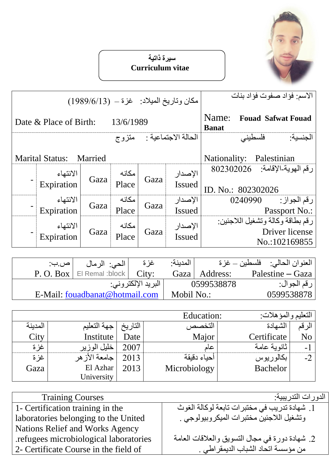

## **سيرة ذاتية Curriculum vitae**

| مكان وتاريخ الميلاد: غزة – (1989/6/13) |                                   |      |                |                     |               | الاسم: فؤاد صفوت فؤاد بنات                         |  |  |
|----------------------------------------|-----------------------------------|------|----------------|---------------------|---------------|----------------------------------------------------|--|--|
| 13/6/1989<br>Date & Place of Birth:    |                                   |      |                |                     |               | Name:<br><b>Fouad Safwat Fouad</b><br><b>Banat</b> |  |  |
|                                        |                                   |      | متزوج          | الحالة الاجتماعية : |               | فلسطينى<br>الجنسبة:                                |  |  |
|                                        | <b>Marital Status:</b><br>Married |      |                |                     |               | Nationality:<br>Palestinian                        |  |  |
|                                        | الانتهاء<br>Expiration            | Gaza | مكانه<br>Place | Gaza                | الإصدار       | رقم الهوية-الإقامة: 802302026                      |  |  |
|                                        |                                   |      |                |                     | <b>Issued</b> | ID. No.: 802302026                                 |  |  |
|                                        | الانتهاء                          | Gaza | مكانه          | Gaza                | الإصدار       | رقم الجواز :<br>0240990                            |  |  |
|                                        | Expiration                        |      | Place          |                     | <b>Issued</b> | Passport No.:                                      |  |  |
|                                        | الانتهاء                          |      | مكانه          |                     | الإصدار       | رقم بطاقة وكالة وتشغيل اللاجئين:                   |  |  |
|                                        |                                   | Gaza | Place          | Gaza                | <b>Issued</b> | Driver license                                     |  |  |
|                                        | Expiration                        |      |                |                     |               | No.:102169855                                      |  |  |

| <u> ص.ب:</u> | الحي: الرمال                    | غز ة               | المدينة·   |            | العنوان الحالي:     فلسطين – غزة |
|--------------|---------------------------------|--------------------|------------|------------|----------------------------------|
|              | $P. O. Box \mid E$ Remal :block | City:              | Gaza       | Address:   | Palestine – Gaza                 |
|              |                                 | البريد الإلكتروني: |            | 0599538878 | رقم الجوال:                      |
|              | E-Mail: fouadbanat@hotmail.com  |                    | Mobil No.: |            | 0599538878                       |

|         |              |         | Education:   | النعليم والمؤهلات: |                |  |
|---------|--------------|---------|--------------|--------------------|----------------|--|
| المدينة | جهة التعليم  | التاريخ | التخصص       | الشهادة            | الرقم          |  |
| City    | Institute    | Date    | Major        | Certificate        | N <sub>o</sub> |  |
| غز ة    | خليل الوزير  | 2007    | عاد          | ثانوبية عامة       | - 1            |  |
| غز ة    | عامعة الأزهر | 2013    | أحياء دقيقة  | بكالوريوس          | $-2$           |  |
| Gaza    | El Azhar     | 2013    | Microbiology | <b>Bachelor</b>    |                |  |
|         | University   |         |              |                    |                |  |

| <b>Training Courses</b>               | الدو رات التدر يبية:                           |
|---------------------------------------|------------------------------------------------|
| 1 - Certification training in the     | 1. شهادة تدريب في مختبرات تابعة لوكالة الغوث   |
| laboratories belonging to the United  | وتشغيل اللاجئين مختبرات الميكروبيولوجي .       |
| Nations Relief and Works Agency       |                                                |
| refugees microbiological laboratories | 2. شهادة دورة في مجال التسويق والعلاقات العامة |
| 2- Certificate Course in the field of | من مؤسسة اتحاد الشباب الديمقراطي .             |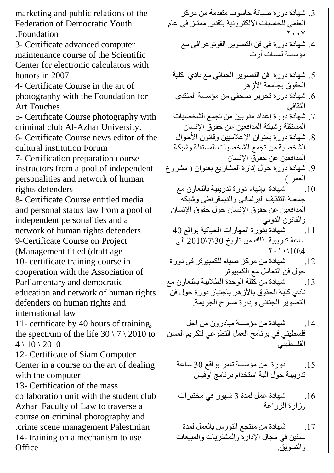marketing and public relations of the Federation of Democratic Youth .Foundation 3- Certificate advanced computer maintenance course of the Scientific Center for electronic calculators with honors in 2007 4- Certificate Course in the art of photography with the Foundation for Art Touches 5- Certificate Course photography with criminal club Al-Azhar University. 6- Certificate Course news editor of the cultural institution Forum 7- Certification preparation course instructors from a pool of independent personalities and network of human rights defenders 8- Certificate Course entitled media and personal status law from a pool of independent personalities and a network of human rights defenders 9-Certificate Course on Project )Management titled (draft age 10- certificate training course in cooperation with the Association of Parliamentary and democratic education and network of human rights defenders on human rights and international law 11- certificate by 40 hours of training, the spectrum of the life  $30 \setminus 7 \setminus 2010$  to  $4 \setminus 10 \setminus 2010$ 12- Certificate of Siam Computer Center in a course on the art of dealing with the computer 13- Certification of the mass collaboration unit with the student club Azhar Faculty of Law to traverse a course on criminal photography and .crime scene management Palestinian 14- training on a mechanism to use **Office** 

- 3. شهادة دورة صيانة حاسوب منقدمة من مركز العلمي للحاسبات الالكترونية بتقدير ممتاز في عام ٧٠٠٢
	- 4. شهادة دورة في فن التصوير الفوتوغرافى مع مؤسسة لمساتٌ أرت
	- 5. شهادة دورة فن التصوير الجنائي مع نادي كلية الحقوق بجامعة الأز هر
	- . شهادة دور ة تحرير صحفي من مؤسسة المنتدى  $6$ الثقافي
	- 7. شهادة دورة إعداد مدربين من تجمع الشخصيات المستقلة وشبكة المدافعين عن حقوق الإنسان
	- 8. شهادة دورة بعثوان الإعلاميين وقانون الأحوال الشخصية من تجمع الشخصيات المستقلة وشبكة المدافعين عن حقوق الإنسان
- 9. شهادة دورة حول إدارة المشاريع بعنوان ( مشروع العمر )
	- .10 شهادة بإنهاء دورة تدريبية بالتعاون مع $\,$ جمعية التثقيف البرلماني والديمقراطي وشبكه المدافعين عن حقوق الإنسان حول حقوق الإنسان والقانون الدولي
	- 11. شهادة بُدورة المهارات الحياتية بواقع 40 ساعة تدريبية ذلك من تاريخ 30\7\2010 الى  $\mathsf{Y} \cdot \mathsf{Y} \cdot \mathsf{10} \$
	- 12. شهادة من مركز صيام للكمبيوتر في دورة حول فن التعامل مع الكمبيوتر
- .13 شهبادة من كُتلة الوحدة الطلابية بالتعاون مع . نادي كلية الحقوق بالأز هر باجتياز دورة حول فن التصوير الجنائي وإدارة مسرح الجريمة.
- 14 ـ شهادة من مؤسسة مبادر ون من اجل فلسطيني في برنامج العمل النطوعي لنكريم المسن الفلسطيني
	- 15. دورة من مؤسسة تامر بواقع 30 ساعة تدريبية حول آلية استخدام برنامج أوفيس
	- 16. شهادة عمل لمدة 3 شهور في مختبرات وزارة الزراعة
	- 17. شهادة من منتجع النورس بالعمل لمدة سنتين في مجال الإدارة والمشتريات والمبيعات و النسويق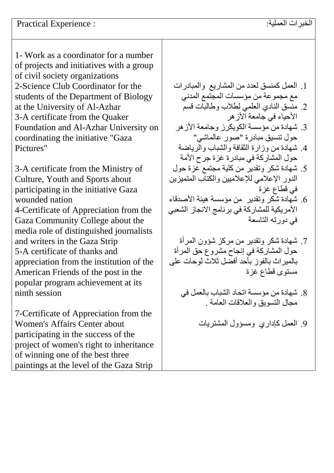1- Work as a coordinator for a number of projects and initiatives with a group of civil society organizations 2-Science Club Coordinator for the students of the Department of Biology at the University of Al-Azhar 3-A certificate from the Quaker Foundation and Al-Azhar University on coordinating the initiative "Gaza Pictures"

3-A certificate from the Ministry of Culture, Youth and Sports about participating in the initiative Gaza wounded nation 4-Certificate of Appreciation from the Gaza Community College about the media role of distinguished journalists and writers in the Gaza Strip 5-A certificate of thanks and appreciation from the institution of the American Friends of the post in the popular program achievement at its ninth session

7-Certificate of Appreciation from the Women's Affairs Center about participating in the success of the project of women's right to inheritance of winning one of the best three paintings at the level of the Gaza Strip

1. العمل كمنسق لعدد من المشاريع والمبادرات مع مجموعة من مؤسسات المجتمع المدنى 2. منَّسق النادي العلمي لطلاب وطالبات قسمٌ الأحياء في جامعة الأز هر 3. شهادة من مؤسسة الكويكرز وجامعة الأزهر حول تُنسيق مبادرة "صور عالماشي" 4. شهادة من وزارة الثقافة والشباب والرياضة حول المشاركة في مبادرة غزة جرح الأمة 5. شهادة شكر وتقدير من كلية مجتمع غزة حول الدور الإعلامي للإعلاميين والكتاب المتميزين في قطاع غزة 6. شهادة شكر وتقدير من مؤسسة هيئة الأصدقاء الأمريكية للمشاركة في برنامج الانجاز الشعبي في دورته التاسعة 7. شهادة شكر ونقدير من مركز شؤون المرأة حول المشاركة في إنجاح مشروع حق المرأة بالمبراث بالفوز بأحد أفضل ثلاث لوحات على مستوى قطاع غزة

- 8. شهادة من مؤسسة اتحاد الشباب بالعمل في مجال النسوبق والعلاقات العامة .
	- 9 العمل كإداري ومسؤول المشتريات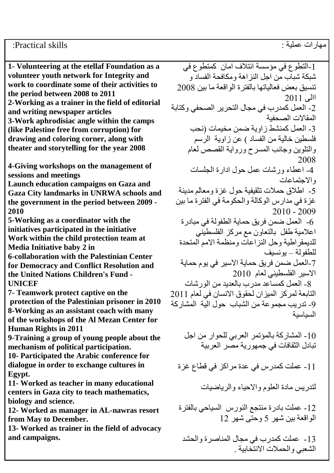## مهار ات عملية : Practical skills :

**1- Volunteering at the etellaf Foundation as a volunteer youth network for Integrity and work to coordinate some of their activities to the period between 2008 to 2011 2-Working as a trainer in the field of editorial and writing newspaper articles 3-Work aphrodisiac angle within the camps (like Palestine free from corruption) for drawing and coloring corner, along with theater and storytelling for the year 2008**

**4-Giving workshops on the management of sessions and meetings**

**Launch education campaigns on Gaza and Gaza City landmarks in UNRWA schools and the government in the period between 2009 - 2010**

**5-Working as a coordinator with the initiatives participated in the initiative Work within the child protection team at Media Initiative baby 2 in** 

**6-collaboration with the Palestinian Center for Democracy and Conflict Resolution and the United Nations Children's Fund - UNICEF**

**7- Teamwork protect captive on the protection of the Palestinian prisoner in 2010 8-Working as an assistant coach with many of the workshops of the Al Mezan Center for Human Rights in 2011**

**9-Training a group of young people about the mechanism of political participation.**

**10- Participated the Arabic conference for dialogue in order to exchange cultures in Egypt.**

**11- Worked as teacher in many educational centers in Gaza city to teach mathematics, biology and science.** 

**12- Worked as manager in AL-nawras resort from May to December.**

**13- Worked as trainer in the field of advocacy and campaigns.** 

1-التطوع في مؤسسة ائتلاف امان كمتطوع في شبكة شباب من اجل النز اهة و مكافحة الفساد و تنسيق بعض فعالياتها بالفترة الواقعة ما بين 2008  $2011$ الي 2- العمل كمدرب في مجال التحرير الصحفي وكتابة المقالات الصحفية 3- العمل كمنشط زاوية ضمن مخيمات (نحب فلسطين خالية من الفساد ) عن زاوية الرسم والتلوين وجانب المسرح ورواية القصص لعام 2008 4- اعطاء ورشات عمل حول ادار ة الجلسات والاجتماعات 5- اطلاق حملات تثقيفية حول غزة ومعالم مدينة غزة في مدارس الوكالة والحكومة في الفترة ما بين 2010 - 2009 6- العمل ضمن فريق حماية الطفولة في مبادر ة اعلامية طفل بالنعاون مع مركز الفلسطيُني للدبمقر اطبة وحل النز اعات ومنظمة الامم المتحدة للطفولة – يو نسيف 7-العمل ضمن فريق حماية الاسير في يوم حماية الاسير الفلسطيني لعام 2010 8- العمل كمسآعد مدرب بالعديد من الور شات التابعة لمركز الميزان لحقوق الانسان في لعام 2011 9- تدر بب مجموعة من الشباب حول الية المشاركة السلسة 10 - المشاركة بالمؤتمر العربي للحوار من اجل تبادل الثقافات في جمهورية مصر العربية 11- عملت كمدرس في عدة مراكز في قطاع غزة لندريس مادة العلوم والاحياء والرياضيات 12- عملت بادر ة منتجع النورس السياحي بالفتر ة الواقعة بين شهر 5 وحتى شهر 12

13- عملت كمدرب في مجال المناصرة والحشد الشعبي والحملات الانتخابية .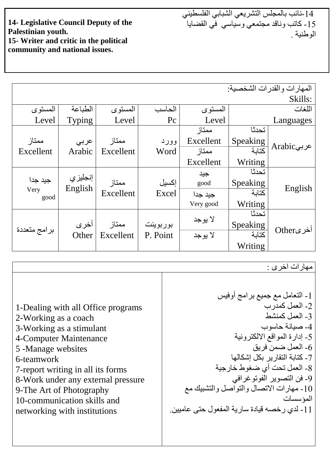**14- Legislative Council Deputy of the Palestinian youth. 15- Writer and critic in the political community and national issues.**

14 نائب بالمجلس التشريعي الشبابي الفلسطيني 15 ـ كاتب وناقد مجتمعي وسُباسي في القضبايا اله طُنية

|              |         |           |          |           |                      | المهارات والقدرات الشخصية: |  |  |
|--------------|---------|-----------|----------|-----------|----------------------|----------------------------|--|--|
| Skills:      |         |           |          |           |                      |                            |  |  |
| المستوى      | الطباعة | المستوى   | الحاسب   | المستوى   |                      | اللغات                     |  |  |
| Level        | Typing  | Level     | Pc       | Level     |                      | Languages                  |  |  |
|              |         |           |          | ممتاز     | تحدثا                |                            |  |  |
| ممتاز        | عربي    | ممتاز     | وورد     | Excellent | Speaking             |                            |  |  |
| Excellent    | Arabic  | Excellent | Word     | ممتاز     | كتابة                | ' عربيArabic               |  |  |
|              |         |           |          | Excellent | Writing <sup>1</sup> |                            |  |  |
|              |         |           |          | جيد       | تحدثا                |                            |  |  |
| جيد جدا      | إنجليزي | ممتاز     | إكسيل    | good      | Speaking             |                            |  |  |
| Very<br>good | English | Excellent | Excel    | جيد جدا   | كتابة                | English                    |  |  |
|              |         |           |          | Very good | Writing              |                            |  |  |
|              |         |           |          |           | تحدثا                |                            |  |  |
|              | أخرى    | ممتاز     | بوربوينت | لا يوجد   | Speaking<br>کتابة    |                            |  |  |
| برامج متعددة | Other   | Excellent | P. Point | لا يوجد   |                      | اخرىOther                  |  |  |
|              |         |           |          |           | Writing <sup>1</sup> |                            |  |  |

مهار ات اخر ي : 1- النعامل مع جميع برامج أوفيس 2- العمل كمدر ب 3- العمل كمنشط 4- صبانة حاسوب 5- إدارة المواقع الالكترونية 6- العمل ضمن فريق 7- كتابة النقارير بكل إشكالها 8- العمل تحت أي ضغوط خارجية 9- فن النصوير الفوتوغرافي -10 يهبراد االرظبل وانزىاطم وانزشجُك يغ المؤسسات 11 - لذي رخصه قيادة سارية المفعول حتى عاميين. 1-Dealing with all Office programs 2-Working as a coach 3-Working as a stimulant 4-Computer Maintenance 5 -Manage websites 6-teamwork 7-report writing in all its forms 8-Work under any external pressure 9-The Art of Photography 10-communication skills and networking with institutions